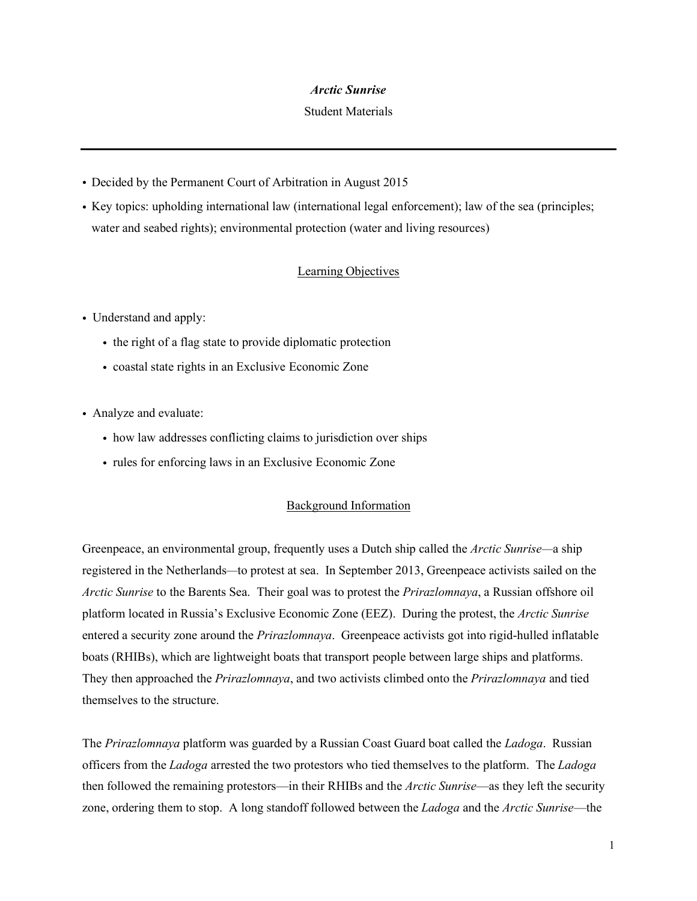### *Arctic Sunrise*

#### Student Materials

- ! Decided by the Permanent Court of Arbitration in August 2015
- ! Key topics: upholding international law (international legal enforcement); law of the sea (principles; water and seabed rights); environmental protection (water and living resources)

# Learning Objectives

- Understand and apply:
	- ! the right of a flag state to provide diplomatic protection
	- ! coastal state rights in an Exclusive Economic Zone
- ! Analyze and evaluate:
	- ! how law addresses conflicting claims to jurisdiction over ships
	- ! rules for enforcing laws in an Exclusive Economic Zone

### Background Information

Greenpeace, an environmental group, frequently uses a Dutch ship called the *Arctic Sunrise—*a ship registered in the Netherlands*—*to protest at sea. In September 2013, Greenpeace activists sailed on the *Arctic Sunrise* to the Barents Sea. Their goal was to protest the *Prirazlomnaya*, a Russian offshore oil platform located in Russia's Exclusive Economic Zone (EEZ). During the protest, the *Arctic Sunrise* entered a security zone around the *Prirazlomnaya*. Greenpeace activists got into rigid-hulled inflatable boats (RHIBs), which are lightweight boats that transport people between large ships and platforms. They then approached the *Prirazlomnaya*, and two activists climbed onto the *Prirazlomnaya* and tied themselves to the structure.

The *Prirazlomnaya* platform was guarded by a Russian Coast Guard boat called the *Ladoga*. Russian officers from the *Ladoga* arrested the two protestors who tied themselves to the platform. The *Ladoga* then followed the remaining protestors—in their RHIBs and the *Arctic Sunrise*—as they left the security zone, ordering them to stop. A long standoff followed between the *Ladoga* and the *Arctic Sunrise*—the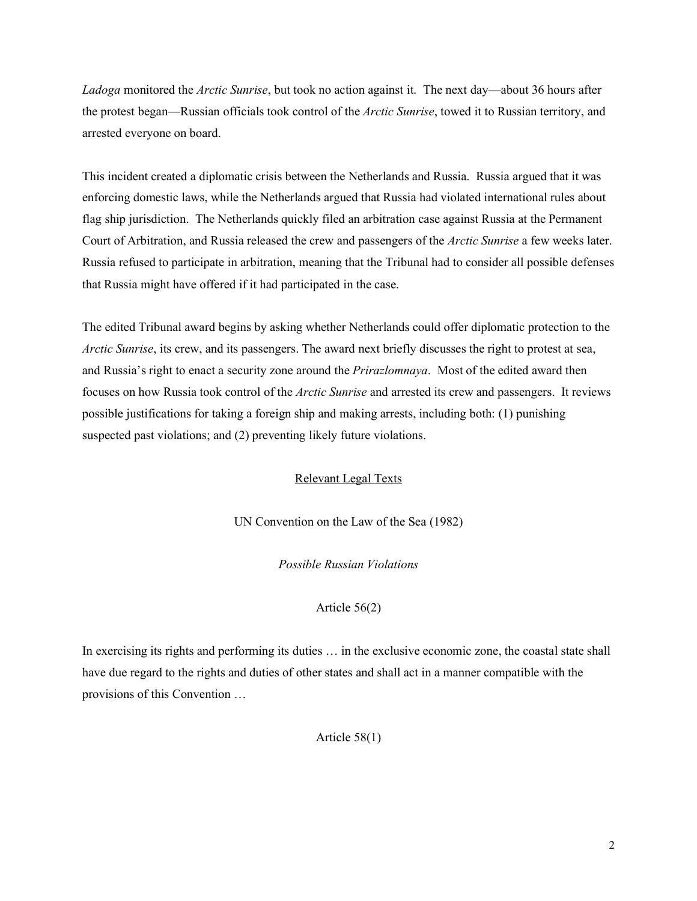*Ladoga* monitored the *Arctic Sunrise*, but took no action against it. The next day—about 36 hours after the protest began—Russian officials took control of the *Arctic Sunrise*, towed it to Russian territory, and arrested everyone on board.

This incident created a diplomatic crisis between the Netherlands and Russia. Russia argued that it was enforcing domestic laws, while the Netherlands argued that Russia had violated international rules about flag ship jurisdiction. The Netherlands quickly filed an arbitration case against Russia at the Permanent Court of Arbitration, and Russia released the crew and passengers of the *Arctic Sunrise* a few weeks later. Russia refused to participate in arbitration, meaning that the Tribunal had to consider all possible defenses that Russia might have offered if it had participated in the case.

The edited Tribunal award begins by asking whether Netherlands could offer diplomatic protection to the *Arctic Sunrise*, its crew, and its passengers. The award next briefly discusses the right to protest at sea, and Russia's right to enact a security zone around the *Prirazlomnaya*. Most of the edited award then focuses on how Russia took control of the *Arctic Sunrise* and arrested its crew and passengers. It reviews possible justifications for taking a foreign ship and making arrests, including both: (1) punishing suspected past violations; and (2) preventing likely future violations.

## Relevant Legal Texts

UN Convention on the Law of the Sea (1982)

*Possible Russian Violations*

Article 56(2)

In exercising its rights and performing its duties … in the exclusive economic zone, the coastal state shall have due regard to the rights and duties of other states and shall act in a manner compatible with the provisions of this Convention …

Article 58(1)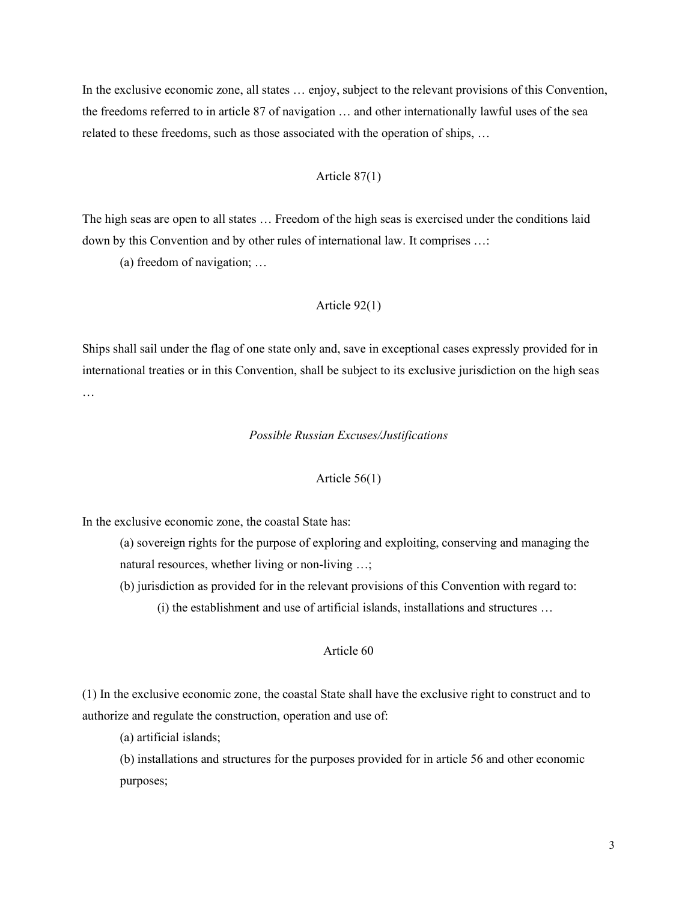In the exclusive economic zone, all states … enjoy, subject to the relevant provisions of this Convention, the freedoms referred to in article 87 of navigation … and other internationally lawful uses of the sea related to these freedoms, such as those associated with the operation of ships, …

## Article 87(1)

The high seas are open to all states … Freedom of the high seas is exercised under the conditions laid down by this Convention and by other rules of international law. It comprises …:

(a) freedom of navigation; …

## Article 92(1)

Ships shall sail under the flag of one state only and, save in exceptional cases expressly provided for in international treaties or in this Convention, shall be subject to its exclusive jurisdiction on the high seas …

### *Possible Russian Excuses/Justifications*

#### Article 56(1)

In the exclusive economic zone, the coastal State has:

- (a) sovereign rights for the purpose of exploring and exploiting, conserving and managing the natural resources, whether living or non-living ...;
- (b) jurisdiction as provided for in the relevant provisions of this Convention with regard to:
	- (i) the establishment and use of artificial islands, installations and structures …

## Article 60

(1) In the exclusive economic zone, the coastal State shall have the exclusive right to construct and to authorize and regulate the construction, operation and use of:

(a) artificial islands;

(b) installations and structures for the purposes provided for in article 56 and other economic purposes;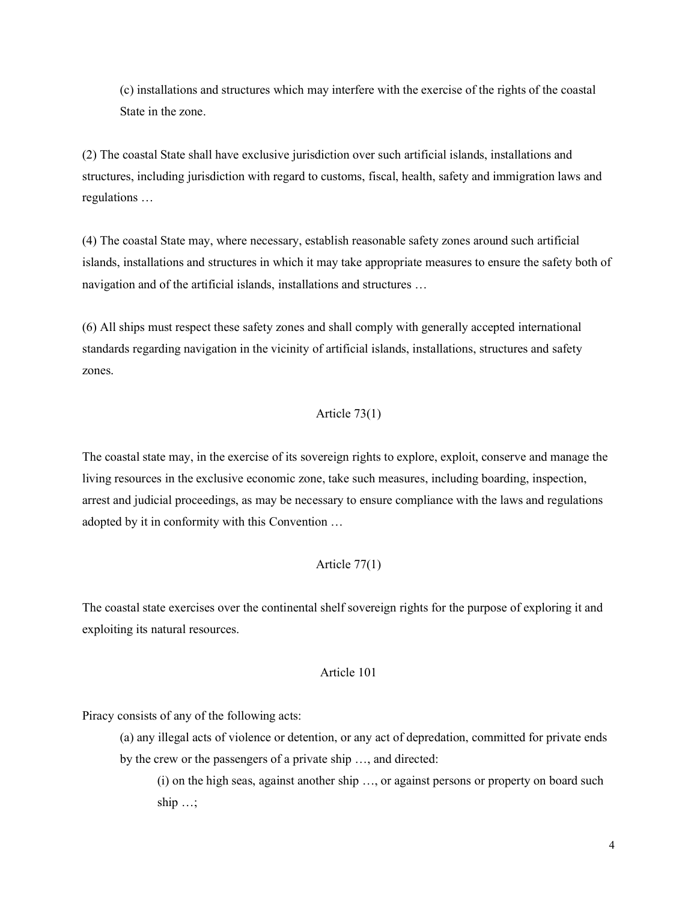(c) installations and structures which may interfere with the exercise of the rights of the coastal State in the zone.

(2) The coastal State shall have exclusive jurisdiction over such artificial islands, installations and structures, including jurisdiction with regard to customs, fiscal, health, safety and immigration laws and regulations …

(4) The coastal State may, where necessary, establish reasonable safety zones around such artificial islands, installations and structures in which it may take appropriate measures to ensure the safety both of navigation and of the artificial islands, installations and structures …

(6) All ships must respect these safety zones and shall comply with generally accepted international standards regarding navigation in the vicinity of artificial islands, installations, structures and safety zones.

# Article 73(1)

The coastal state may, in the exercise of its sovereign rights to explore, exploit, conserve and manage the living resources in the exclusive economic zone, take such measures, including boarding, inspection, arrest and judicial proceedings, as may be necessary to ensure compliance with the laws and regulations adopted by it in conformity with this Convention …

# Article 77(1)

The coastal state exercises over the continental shelf sovereign rights for the purpose of exploring it and exploiting its natural resources.

# Article 101

Piracy consists of any of the following acts:

(a) any illegal acts of violence or detention, or any act of depredation, committed for private ends by the crew or the passengers of a private ship …, and directed:

(i) on the high seas, against another ship …, or against persons or property on board such ship …;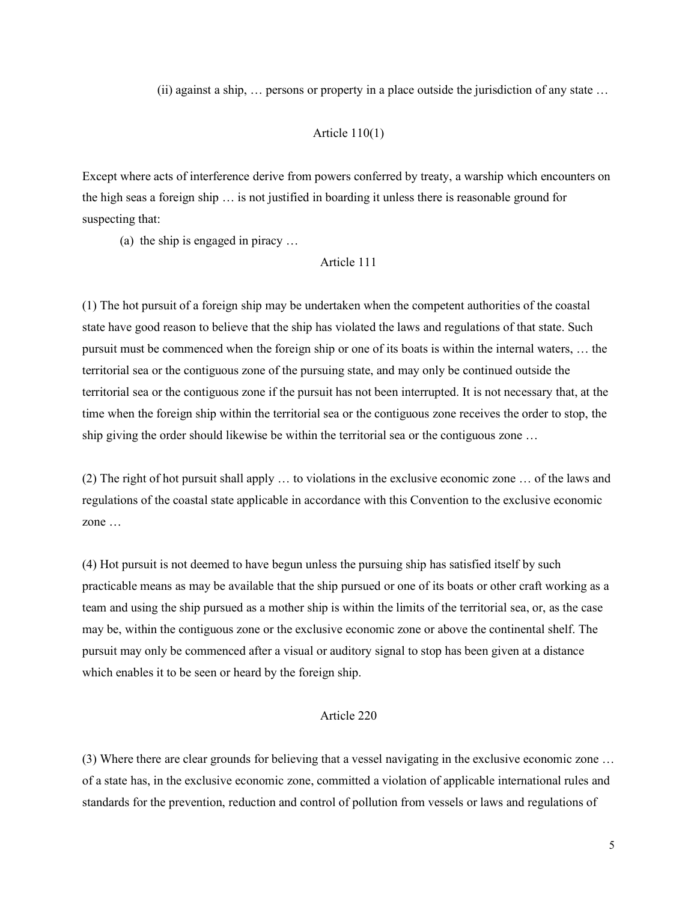(ii) against a ship, … persons or property in a place outside the jurisdiction of any state …

## Article 110(1)

Except where acts of interference derive from powers conferred by treaty, a warship which encounters on the high seas a foreign ship … is not justified in boarding it unless there is reasonable ground for suspecting that:

(a) the ship is engaged in piracy …

# Article 111

(1) The hot pursuit of a foreign ship may be undertaken when the competent authorities of the coastal state have good reason to believe that the ship has violated the laws and regulations of that state. Such pursuit must be commenced when the foreign ship or one of its boats is within the internal waters, … the territorial sea or the contiguous zone of the pursuing state, and may only be continued outside the territorial sea or the contiguous zone if the pursuit has not been interrupted. It is not necessary that, at the time when the foreign ship within the territorial sea or the contiguous zone receives the order to stop, the ship giving the order should likewise be within the territorial sea or the contiguous zone …

(2) The right of hot pursuit shall apply … to violations in the exclusive economic zone … of the laws and regulations of the coastal state applicable in accordance with this Convention to the exclusive economic zone …

(4) Hot pursuit is not deemed to have begun unless the pursuing ship has satisfied itself by such practicable means as may be available that the ship pursued or one of its boats or other craft working as a team and using the ship pursued as a mother ship is within the limits of the territorial sea, or, as the case may be, within the contiguous zone or the exclusive economic zone or above the continental shelf. The pursuit may only be commenced after a visual or auditory signal to stop has been given at a distance which enables it to be seen or heard by the foreign ship.

## Article 220

(3) Where there are clear grounds for believing that a vessel navigating in the exclusive economic zone … of a state has, in the exclusive economic zone, committed a violation of applicable international rules and standards for the prevention, reduction and control of pollution from vessels or laws and regulations of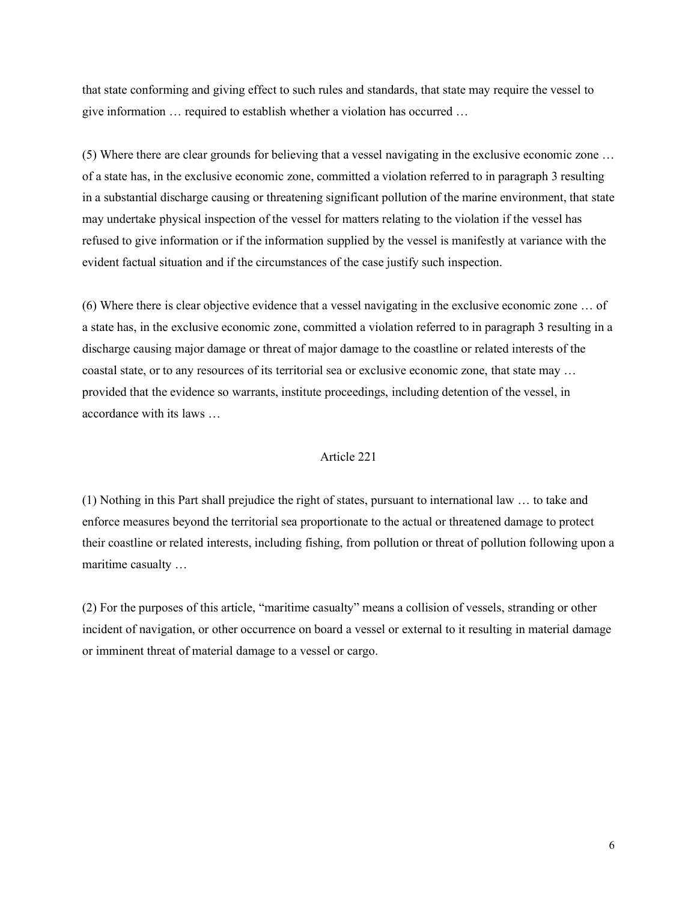that state conforming and giving effect to such rules and standards, that state may require the vessel to give information … required to establish whether a violation has occurred …

(5) Where there are clear grounds for believing that a vessel navigating in the exclusive economic zone … of a state has, in the exclusive economic zone, committed a violation referred to in paragraph 3 resulting in a substantial discharge causing or threatening significant pollution of the marine environment, that state may undertake physical inspection of the vessel for matters relating to the violation if the vessel has refused to give information or if the information supplied by the vessel is manifestly at variance with the evident factual situation and if the circumstances of the case justify such inspection.

(6) Where there is clear objective evidence that a vessel navigating in the exclusive economic zone … of a state has, in the exclusive economic zone, committed a violation referred to in paragraph 3 resulting in a discharge causing major damage or threat of major damage to the coastline or related interests of the coastal state, or to any resources of its territorial sea or exclusive economic zone, that state may … provided that the evidence so warrants, institute proceedings, including detention of the vessel, in accordance with its laws …

## Article 221

(1) Nothing in this Part shall prejudice the right of states, pursuant to international law … to take and enforce measures beyond the territorial sea proportionate to the actual or threatened damage to protect their coastline or related interests, including fishing, from pollution or threat of pollution following upon a maritime casualty …

(2) For the purposes of this article, "maritime casualty" means a collision of vessels, stranding or other incident of navigation, or other occurrence on board a vessel or external to it resulting in material damage or imminent threat of material damage to a vessel or cargo.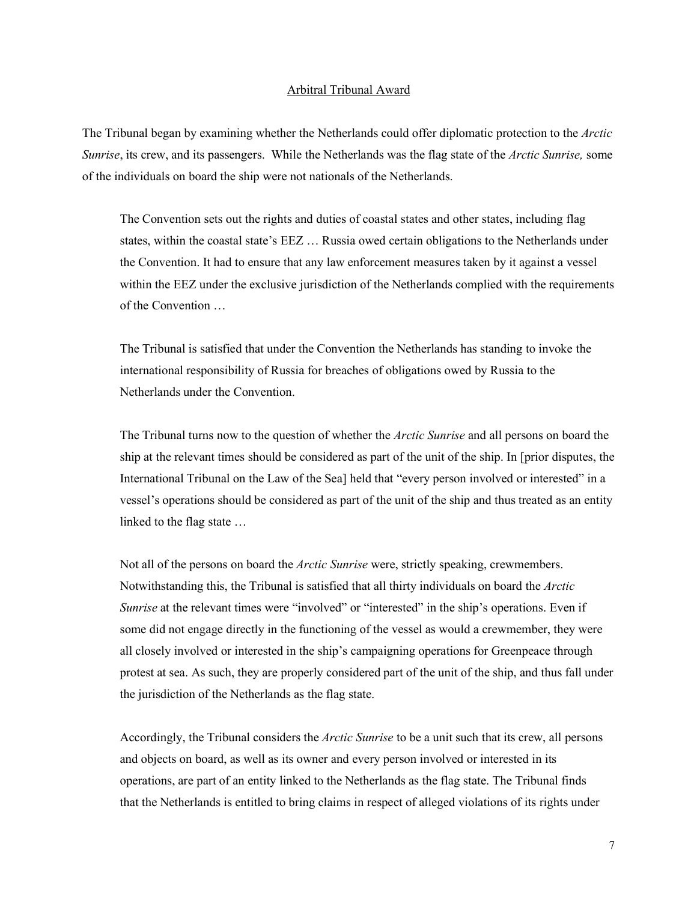#### Arbitral Tribunal Award

The Tribunal began by examining whether the Netherlands could offer diplomatic protection to the *Arctic Sunrise*, its crew, and its passengers. While the Netherlands was the flag state of the *Arctic Sunrise,* some of the individuals on board the ship were not nationals of the Netherlands.

The Convention sets out the rights and duties of coastal states and other states, including flag states, within the coastal state's EEZ … Russia owed certain obligations to the Netherlands under the Convention. It had to ensure that any law enforcement measures taken by it against a vessel within the EEZ under the exclusive jurisdiction of the Netherlands complied with the requirements of the Convention …

The Tribunal is satisfied that under the Convention the Netherlands has standing to invoke the international responsibility of Russia for breaches of obligations owed by Russia to the Netherlands under the Convention.

The Tribunal turns now to the question of whether the *Arctic Sunrise* and all persons on board the ship at the relevant times should be considered as part of the unit of the ship. In [prior disputes, the International Tribunal on the Law of the Sea] held that "every person involved or interested" in a vessel's operations should be considered as part of the unit of the ship and thus treated as an entity linked to the flag state …

Not all of the persons on board the *Arctic Sunrise* were, strictly speaking, crewmembers. Notwithstanding this, the Tribunal is satisfied that all thirty individuals on board the *Arctic Sunrise* at the relevant times were "involved" or "interested" in the ship's operations. Even if some did not engage directly in the functioning of the vessel as would a crewmember, they were all closely involved or interested in the ship's campaigning operations for Greenpeace through protest at sea. As such, they are properly considered part of the unit of the ship, and thus fall under the jurisdiction of the Netherlands as the flag state.

Accordingly, the Tribunal considers the *Arctic Sunrise* to be a unit such that its crew, all persons and objects on board, as well as its owner and every person involved or interested in its operations, are part of an entity linked to the Netherlands as the flag state. The Tribunal finds that the Netherlands is entitled to bring claims in respect of alleged violations of its rights under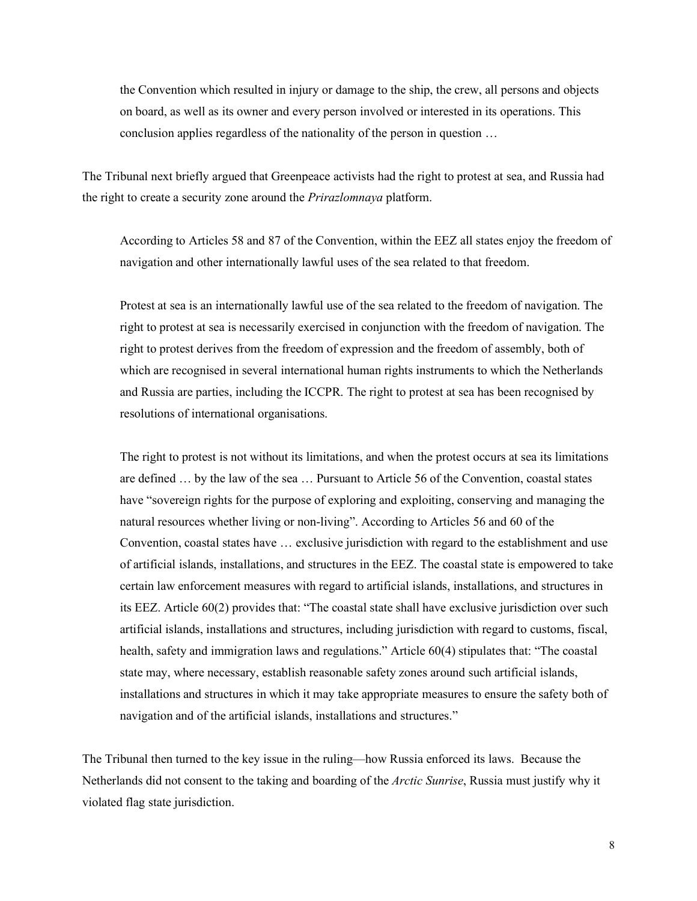the Convention which resulted in injury or damage to the ship, the crew, all persons and objects on board, as well as its owner and every person involved or interested in its operations. This conclusion applies regardless of the nationality of the person in question …

The Tribunal next briefly argued that Greenpeace activists had the right to protest at sea, and Russia had the right to create a security zone around the *Prirazlomnaya* platform.

According to Articles 58 and 87 of the Convention, within the EEZ all states enjoy the freedom of navigation and other internationally lawful uses of the sea related to that freedom.

Protest at sea is an internationally lawful use of the sea related to the freedom of navigation. The right to protest at sea is necessarily exercised in conjunction with the freedom of navigation. The right to protest derives from the freedom of expression and the freedom of assembly, both of which are recognised in several international human rights instruments to which the Netherlands and Russia are parties, including the ICCPR. The right to protest at sea has been recognised by resolutions of international organisations.

The right to protest is not without its limitations, and when the protest occurs at sea its limitations are defined … by the law of the sea … Pursuant to Article 56 of the Convention, coastal states have "sovereign rights for the purpose of exploring and exploiting, conserving and managing the natural resources whether living or non-living". According to Articles 56 and 60 of the Convention, coastal states have … exclusive jurisdiction with regard to the establishment and use of artificial islands, installations, and structures in the EEZ. The coastal state is empowered to take certain law enforcement measures with regard to artificial islands, installations, and structures in its EEZ. Article 60(2) provides that: "The coastal state shall have exclusive jurisdiction over such artificial islands, installations and structures, including jurisdiction with regard to customs, fiscal, health, safety and immigration laws and regulations." Article 60(4) stipulates that: "The coastal state may, where necessary, establish reasonable safety zones around such artificial islands, installations and structures in which it may take appropriate measures to ensure the safety both of navigation and of the artificial islands, installations and structures."

The Tribunal then turned to the key issue in the ruling—how Russia enforced its laws. Because the Netherlands did not consent to the taking and boarding of the *Arctic Sunrise*, Russia must justify why it violated flag state jurisdiction.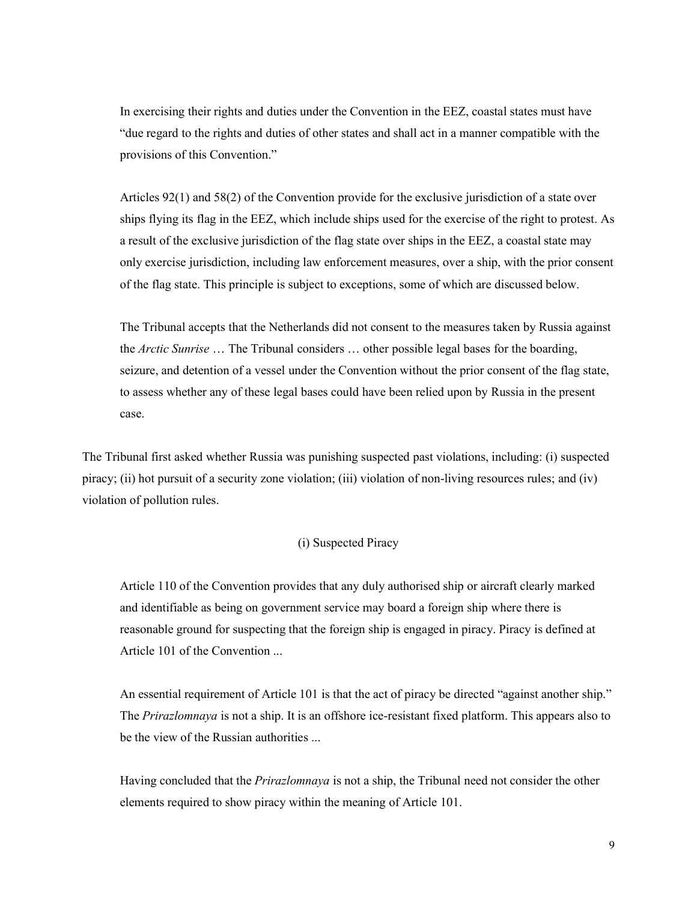In exercising their rights and duties under the Convention in the EEZ, coastal states must have "due regard to the rights and duties of other states and shall act in a manner compatible with the provisions of this Convention."

Articles 92(1) and 58(2) of the Convention provide for the exclusive jurisdiction of a state over ships flying its flag in the EEZ, which include ships used for the exercise of the right to protest. As a result of the exclusive jurisdiction of the flag state over ships in the EEZ, a coastal state may only exercise jurisdiction, including law enforcement measures, over a ship, with the prior consent of the flag state. This principle is subject to exceptions, some of which are discussed below.

The Tribunal accepts that the Netherlands did not consent to the measures taken by Russia against the *Arctic Sunrise* … The Tribunal considers … other possible legal bases for the boarding, seizure, and detention of a vessel under the Convention without the prior consent of the flag state, to assess whether any of these legal bases could have been relied upon by Russia in the present case.

The Tribunal first asked whether Russia was punishing suspected past violations, including: (i) suspected piracy; (ii) hot pursuit of a security zone violation; (iii) violation of non-living resources rules; and (iv) violation of pollution rules.

## (i) Suspected Piracy

Article 110 of the Convention provides that any duly authorised ship or aircraft clearly marked and identifiable as being on government service may board a foreign ship where there is reasonable ground for suspecting that the foreign ship is engaged in piracy. Piracy is defined at Article 101 of the Convention ...

An essential requirement of Article 101 is that the act of piracy be directed "against another ship." The *Prirazlomnaya* is not a ship. It is an offshore ice-resistant fixed platform. This appears also to be the view of the Russian authorities ...

Having concluded that the *Prirazlomnaya* is not a ship, the Tribunal need not consider the other elements required to show piracy within the meaning of Article 101.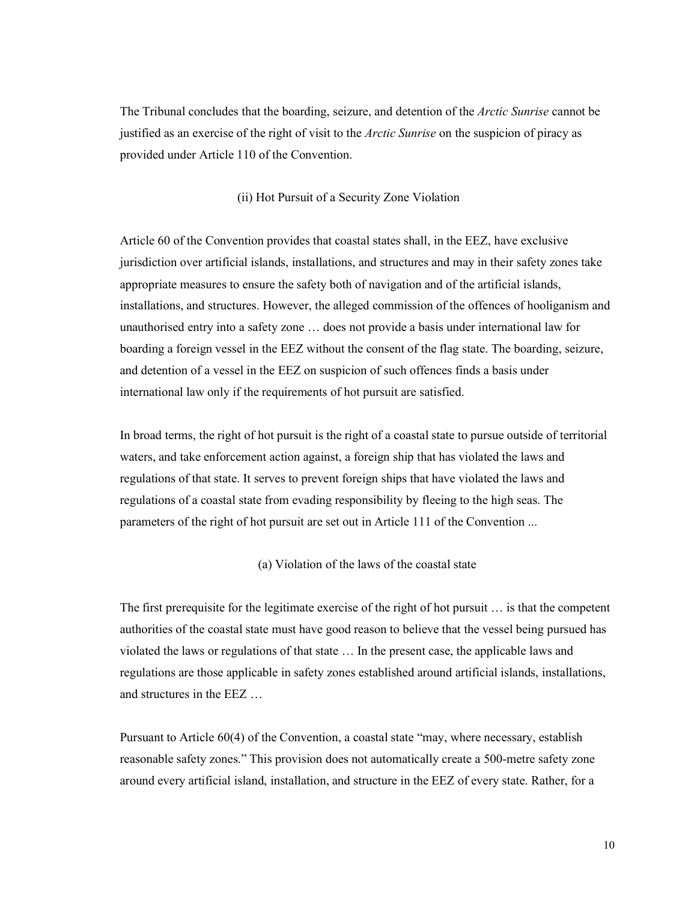The Tribunal concludes that the boarding, seizure, and detention of the *Arctic Sunrise* cannot be justified as an exercise of the right of visit to the *Arctic Sunrise* on the suspicion of piracy as provided under Article 110 of the Convention.

### (ii) Hot Pursuit of a Security Zone Violation

Article 60 of the Convention provides that coastal states shall, in the EEZ, have exclusive jurisdiction over artificial islands, installations, and structures and may in their safety zones take appropriate measures to ensure the safety both of navigation and of the artificial islands, installations, and structures. However, the alleged commission of the offences of hooliganism and unauthorised entry into a safety zone … does not provide a basis under international law for boarding a foreign vessel in the EEZ without the consent of the flag state. The boarding, seizure, and detention of a vessel in the EEZ on suspicion of such offences finds a basis under international law only if the requirements of hot pursuit are satisfied.

In broad terms, the right of hot pursuit is the right of a coastal state to pursue outside of territorial waters, and take enforcement action against, a foreign ship that has violated the laws and regulations of that state. It serves to prevent foreign ships that have violated the laws and regulations of a coastal state from evading responsibility by fleeing to the high seas. The parameters of the right of hot pursuit are set out in Article 111 of the Convention ...

## (a) Violation of the laws of the coastal state

The first prerequisite for the legitimate exercise of the right of hot pursuit … is that the competent authorities of the coastal state must have good reason to believe that the vessel being pursued has violated the laws or regulations of that state … In the present case, the applicable laws and regulations are those applicable in safety zones established around artificial islands, installations, and structures in the EEZ …

Pursuant to Article 60(4) of the Convention, a coastal state "may, where necessary, establish reasonable safety zones." This provision does not automatically create a 500-metre safety zone around every artificial island, installation, and structure in the EEZ of every state. Rather, for a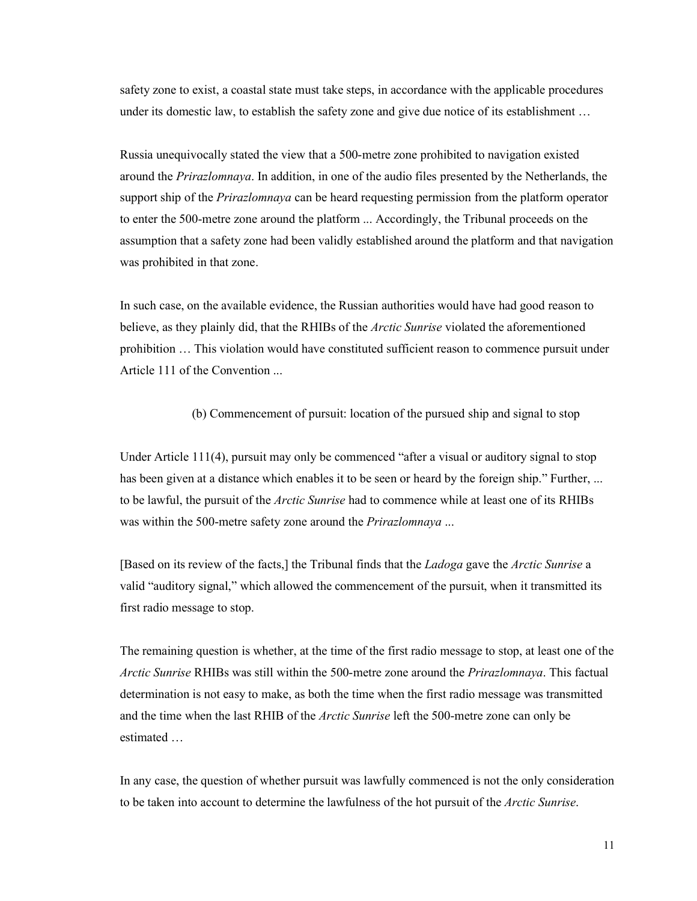safety zone to exist, a coastal state must take steps, in accordance with the applicable procedures under its domestic law, to establish the safety zone and give due notice of its establishment …

Russia unequivocally stated the view that a 500-metre zone prohibited to navigation existed around the *Prirazlomnaya*. In addition, in one of the audio files presented by the Netherlands, the support ship of the *Prirazlomnaya* can be heard requesting permission from the platform operator to enter the 500-metre zone around the platform ... Accordingly, the Tribunal proceeds on the assumption that a safety zone had been validly established around the platform and that navigation was prohibited in that zone.

In such case, on the available evidence, the Russian authorities would have had good reason to believe, as they plainly did, that the RHIBs of the *Arctic Sunrise* violated the aforementioned prohibition … This violation would have constituted sufficient reason to commence pursuit under Article 111 of the Convention ...

### (b) Commencement of pursuit: location of the pursued ship and signal to stop

Under Article 111(4), pursuit may only be commenced "after a visual or auditory signal to stop has been given at a distance which enables it to be seen or heard by the foreign ship." Further, ... to be lawful, the pursuit of the *Arctic Sunrise* had to commence while at least one of its RHIBs was within the 500-metre safety zone around the *Prirazlomnaya* ...

[Based on its review of the facts,] the Tribunal finds that the *Ladoga* gave the *Arctic Sunrise* a valid "auditory signal," which allowed the commencement of the pursuit, when it transmitted its first radio message to stop.

The remaining question is whether, at the time of the first radio message to stop, at least one of the *Arctic Sunrise* RHIBs was still within the 500-metre zone around the *Prirazlomnaya*. This factual determination is not easy to make, as both the time when the first radio message was transmitted and the time when the last RHIB of the *Arctic Sunrise* left the 500-metre zone can only be estimated …

In any case, the question of whether pursuit was lawfully commenced is not the only consideration to be taken into account to determine the lawfulness of the hot pursuit of the *Arctic Sunrise*.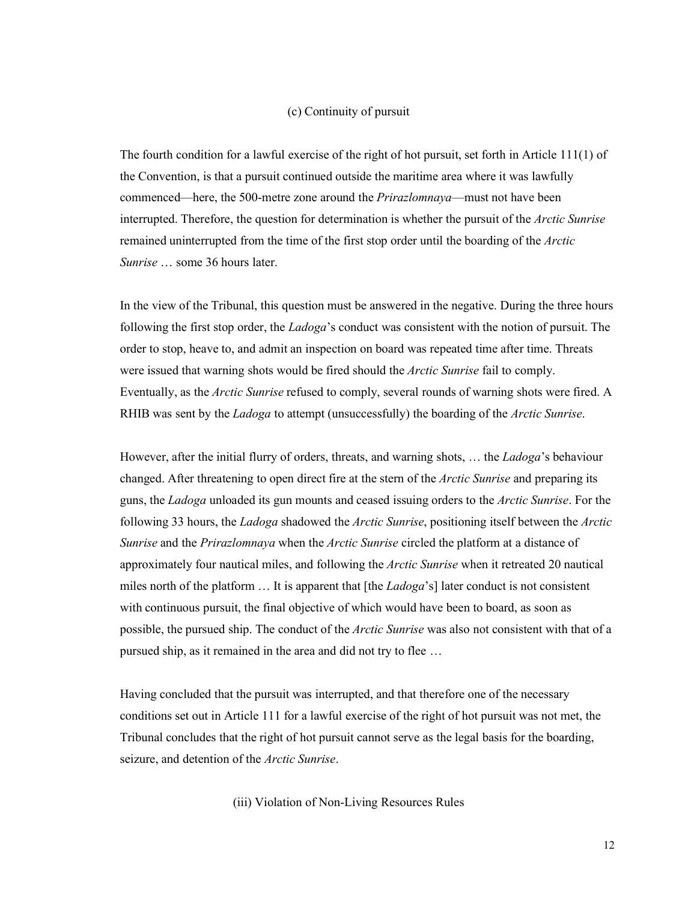#### (c) Continuity of pursuit

The fourth condition for a lawful exercise of the right of hot pursuit, set forth in Article 111(1) of the Convention, is that a pursuit continued outside the maritime area where it was lawfully commenced—here, the 500-metre zone around the *Prirazlomnaya*—must not have been interrupted. Therefore, the question for determination is whether the pursuit of the *Arctic Sunrise* remained uninterrupted from the time of the first stop order until the boarding of the *Arctic Sunrise* … some 36 hours later.

In the view of the Tribunal, this question must be answered in the negative. During the three hours following the first stop order, the *Ladoga*'s conduct was consistent with the notion of pursuit. The order to stop, heave to, and admit an inspection on board was repeated time after time. Threats were issued that warning shots would be fired should the *Arctic Sunrise* fail to comply. Eventually, as the *Arctic Sunrise* refused to comply, several rounds of warning shots were fired. A RHIB was sent by the *Ladoga* to attempt (unsuccessfully) the boarding of the *Arctic Sunrise*.

However, after the initial flurry of orders, threats, and warning shots, … the *Ladoga*'s behaviour changed. After threatening to open direct fire at the stern of the *Arctic Sunrise* and preparing its guns, the *Ladoga* unloaded its gun mounts and ceased issuing orders to the *Arctic Sunrise*. For the following 33 hours, the *Ladoga* shadowed the *Arctic Sunrise*, positioning itself between the *Arctic Sunrise* and the *Prirazlomnaya* when the *Arctic Sunrise* circled the platform at a distance of approximately four nautical miles, and following the *Arctic Sunrise* when it retreated 20 nautical miles north of the platform … It is apparent that [the *Ladoga*'s] later conduct is not consistent with continuous pursuit, the final objective of which would have been to board, as soon as possible, the pursued ship. The conduct of the *Arctic Sunrise* was also not consistent with that of a pursued ship, as it remained in the area and did not try to flee …

Having concluded that the pursuit was interrupted, and that therefore one of the necessary conditions set out in Article 111 for a lawful exercise of the right of hot pursuit was not met, the Tribunal concludes that the right of hot pursuit cannot serve as the legal basis for the boarding, seizure, and detention of the *Arctic Sunrise*.

(iii) Violation of Non-Living Resources Rules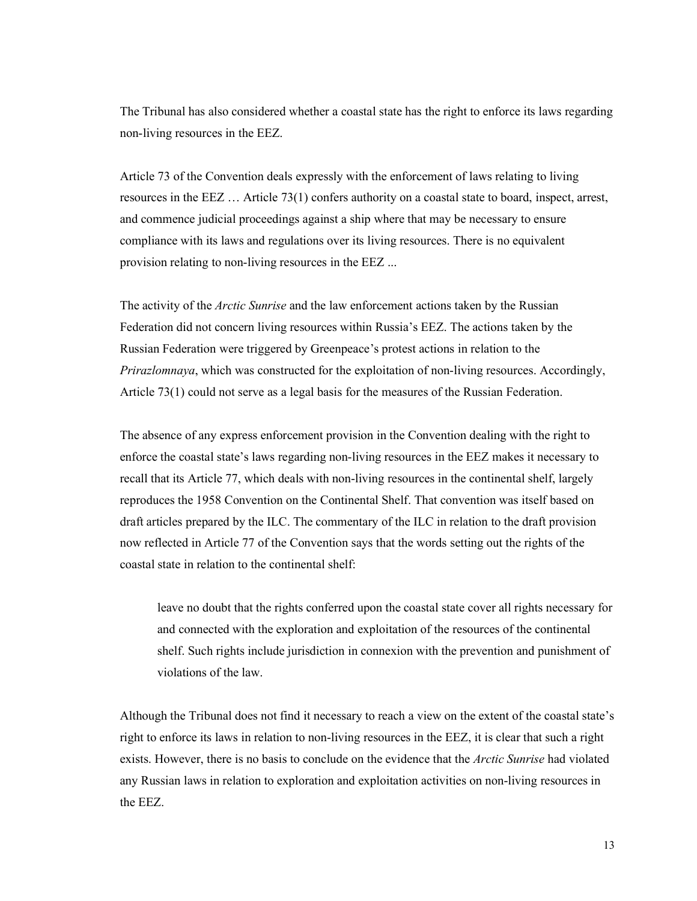The Tribunal has also considered whether a coastal state has the right to enforce its laws regarding non-living resources in the EEZ.

Article 73 of the Convention deals expressly with the enforcement of laws relating to living resources in the EEZ … Article 73(1) confers authority on a coastal state to board, inspect, arrest, and commence judicial proceedings against a ship where that may be necessary to ensure compliance with its laws and regulations over its living resources. There is no equivalent provision relating to non-living resources in the EEZ ...

The activity of the *Arctic Sunrise* and the law enforcement actions taken by the Russian Federation did not concern living resources within Russia's EEZ. The actions taken by the Russian Federation were triggered by Greenpeace's protest actions in relation to the *Prirazlomnaya*, which was constructed for the exploitation of non-living resources. Accordingly, Article 73(1) could not serve as a legal basis for the measures of the Russian Federation.

The absence of any express enforcement provision in the Convention dealing with the right to enforce the coastal state's laws regarding non-living resources in the EEZ makes it necessary to recall that its Article 77, which deals with non-living resources in the continental shelf, largely reproduces the 1958 Convention on the Continental Shelf. That convention was itself based on draft articles prepared by the ILC. The commentary of the ILC in relation to the draft provision now reflected in Article 77 of the Convention says that the words setting out the rights of the coastal state in relation to the continental shelf:

leave no doubt that the rights conferred upon the coastal state cover all rights necessary for and connected with the exploration and exploitation of the resources of the continental shelf. Such rights include jurisdiction in connexion with the prevention and punishment of violations of the law.

Although the Tribunal does not find it necessary to reach a view on the extent of the coastal state's right to enforce its laws in relation to non-living resources in the EEZ, it is clear that such a right exists. However, there is no basis to conclude on the evidence that the *Arctic Sunrise* had violated any Russian laws in relation to exploration and exploitation activities on non-living resources in the EEZ.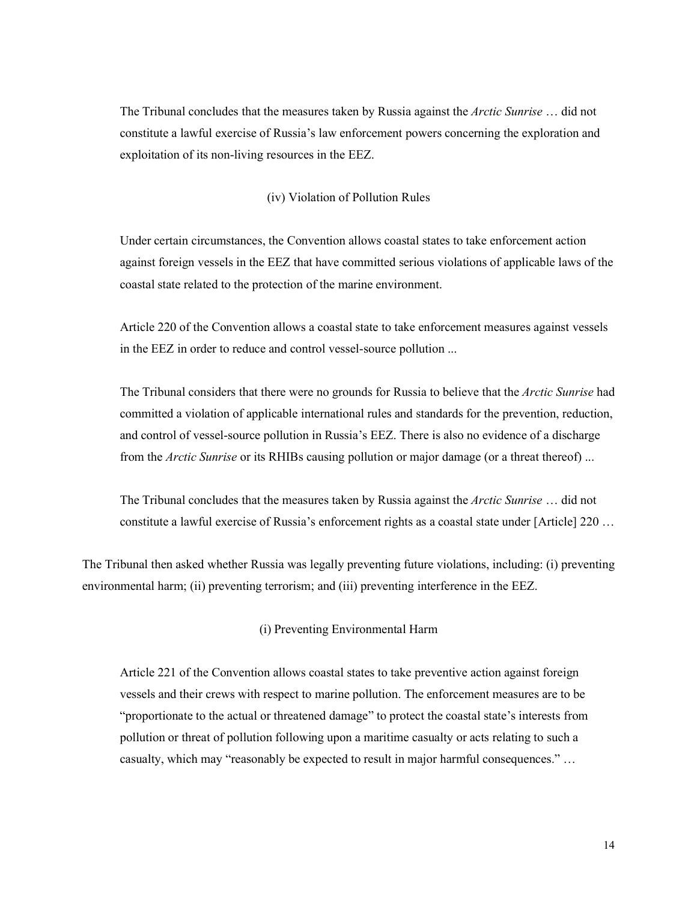The Tribunal concludes that the measures taken by Russia against the *Arctic Sunrise* … did not constitute a lawful exercise of Russia's law enforcement powers concerning the exploration and exploitation of its non-living resources in the EEZ.

## (iv) Violation of Pollution Rules

Under certain circumstances, the Convention allows coastal states to take enforcement action against foreign vessels in the EEZ that have committed serious violations of applicable laws of the coastal state related to the protection of the marine environment.

Article 220 of the Convention allows a coastal state to take enforcement measures against vessels in the EEZ in order to reduce and control vessel-source pollution ...

The Tribunal considers that there were no grounds for Russia to believe that the *Arctic Sunrise* had committed a violation of applicable international rules and standards for the prevention, reduction, and control of vessel-source pollution in Russia's EEZ. There is also no evidence of a discharge from the *Arctic Sunrise* or its RHIBs causing pollution or major damage (or a threat thereof) ...

The Tribunal concludes that the measures taken by Russia against the *Arctic Sunrise* … did not constitute a lawful exercise of Russia's enforcement rights as a coastal state under [Article] 220 …

The Tribunal then asked whether Russia was legally preventing future violations, including: (i) preventing environmental harm; (ii) preventing terrorism; and (iii) preventing interference in the EEZ.

(i) Preventing Environmental Harm

Article 221 of the Convention allows coastal states to take preventive action against foreign vessels and their crews with respect to marine pollution. The enforcement measures are to be "proportionate to the actual or threatened damage" to protect the coastal state's interests from pollution or threat of pollution following upon a maritime casualty or acts relating to such a casualty, which may "reasonably be expected to result in major harmful consequences." …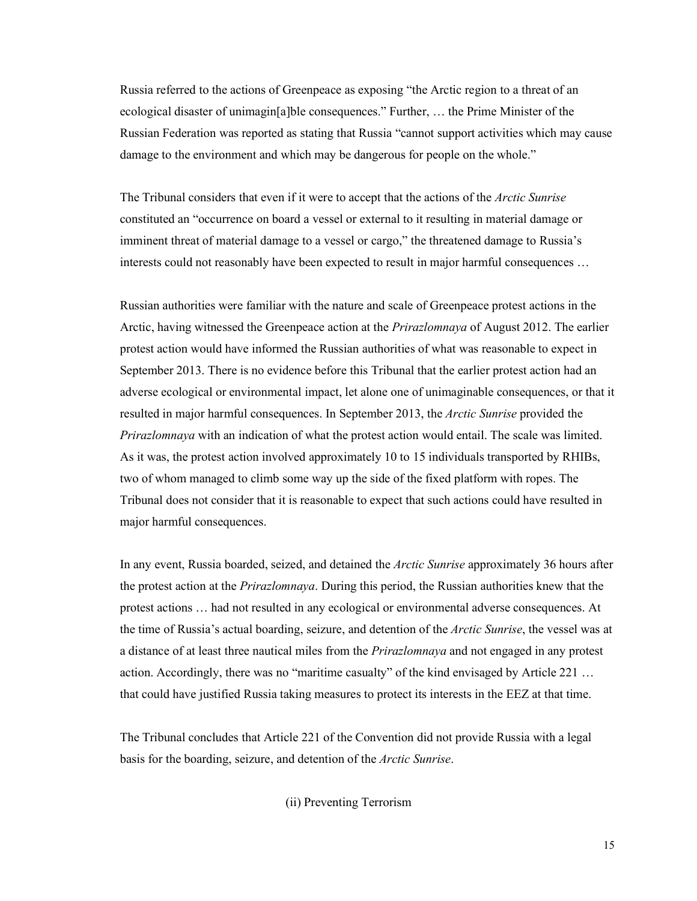Russia referred to the actions of Greenpeace as exposing "the Arctic region to a threat of an ecological disaster of unimagin[a]ble consequences." Further, … the Prime Minister of the Russian Federation was reported as stating that Russia "cannot support activities which may cause damage to the environment and which may be dangerous for people on the whole."

The Tribunal considers that even if it were to accept that the actions of the *Arctic Sunrise* constituted an "occurrence on board a vessel or external to it resulting in material damage or imminent threat of material damage to a vessel or cargo," the threatened damage to Russia's interests could not reasonably have been expected to result in major harmful consequences …

Russian authorities were familiar with the nature and scale of Greenpeace protest actions in the Arctic, having witnessed the Greenpeace action at the *Prirazlomnaya* of August 2012. The earlier protest action would have informed the Russian authorities of what was reasonable to expect in September 2013. There is no evidence before this Tribunal that the earlier protest action had an adverse ecological or environmental impact, let alone one of unimaginable consequences, or that it resulted in major harmful consequences. In September 2013, the *Arctic Sunrise* provided the *Prirazlomnaya* with an indication of what the protest action would entail. The scale was limited. As it was, the protest action involved approximately 10 to 15 individuals transported by RHIBs, two of whom managed to climb some way up the side of the fixed platform with ropes. The Tribunal does not consider that it is reasonable to expect that such actions could have resulted in major harmful consequences.

In any event, Russia boarded, seized, and detained the *Arctic Sunrise* approximately 36 hours after the protest action at the *Prirazlomnaya*. During this period, the Russian authorities knew that the protest actions … had not resulted in any ecological or environmental adverse consequences. At the time of Russia's actual boarding, seizure, and detention of the *Arctic Sunrise*, the vessel was at a distance of at least three nautical miles from the *Prirazlomnaya* and not engaged in any protest action. Accordingly, there was no "maritime casualty" of the kind envisaged by Article 221 … that could have justified Russia taking measures to protect its interests in the EEZ at that time.

The Tribunal concludes that Article 221 of the Convention did not provide Russia with a legal basis for the boarding, seizure, and detention of the *Arctic Sunrise*.

(ii) Preventing Terrorism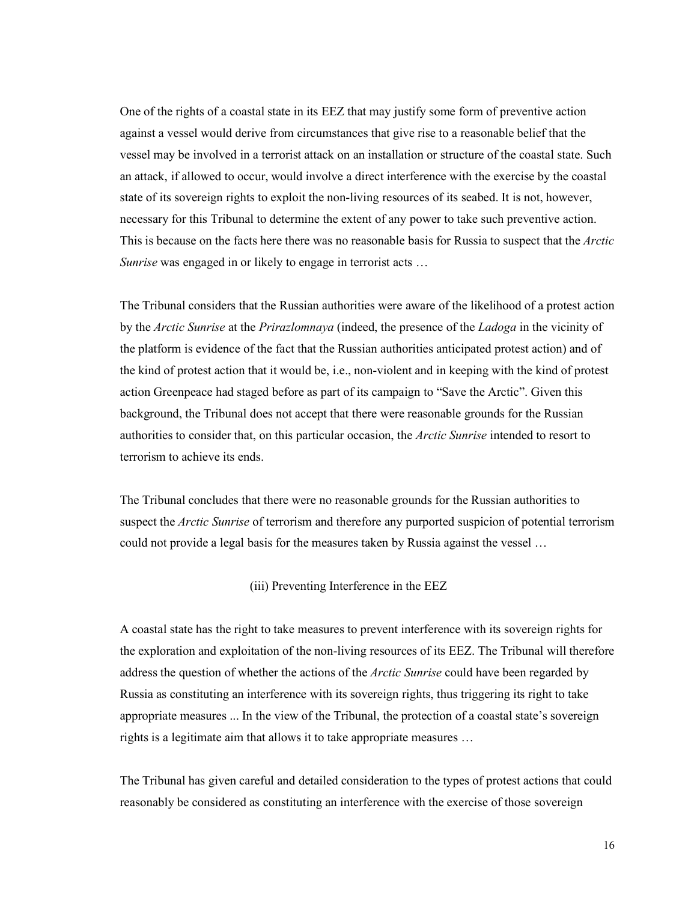One of the rights of a coastal state in its EEZ that may justify some form of preventive action against a vessel would derive from circumstances that give rise to a reasonable belief that the vessel may be involved in a terrorist attack on an installation or structure of the coastal state. Such an attack, if allowed to occur, would involve a direct interference with the exercise by the coastal state of its sovereign rights to exploit the non-living resources of its seabed. It is not, however, necessary for this Tribunal to determine the extent of any power to take such preventive action. This is because on the facts here there was no reasonable basis for Russia to suspect that the *Arctic Sunrise* was engaged in or likely to engage in terrorist acts …

The Tribunal considers that the Russian authorities were aware of the likelihood of a protest action by the *Arctic Sunrise* at the *Prirazlomnaya* (indeed, the presence of the *Ladoga* in the vicinity of the platform is evidence of the fact that the Russian authorities anticipated protest action) and of the kind of protest action that it would be, i.e., non-violent and in keeping with the kind of protest action Greenpeace had staged before as part of its campaign to "Save the Arctic". Given this background, the Tribunal does not accept that there were reasonable grounds for the Russian authorities to consider that, on this particular occasion, the *Arctic Sunrise* intended to resort to terrorism to achieve its ends.

The Tribunal concludes that there were no reasonable grounds for the Russian authorities to suspect the *Arctic Sunrise* of terrorism and therefore any purported suspicion of potential terrorism could not provide a legal basis for the measures taken by Russia against the vessel …

(iii) Preventing Interference in the EEZ

A coastal state has the right to take measures to prevent interference with its sovereign rights for the exploration and exploitation of the non-living resources of its EEZ. The Tribunal will therefore address the question of whether the actions of the *Arctic Sunrise* could have been regarded by Russia as constituting an interference with its sovereign rights, thus triggering its right to take appropriate measures ... In the view of the Tribunal, the protection of a coastal state's sovereign rights is a legitimate aim that allows it to take appropriate measures …

The Tribunal has given careful and detailed consideration to the types of protest actions that could reasonably be considered as constituting an interference with the exercise of those sovereign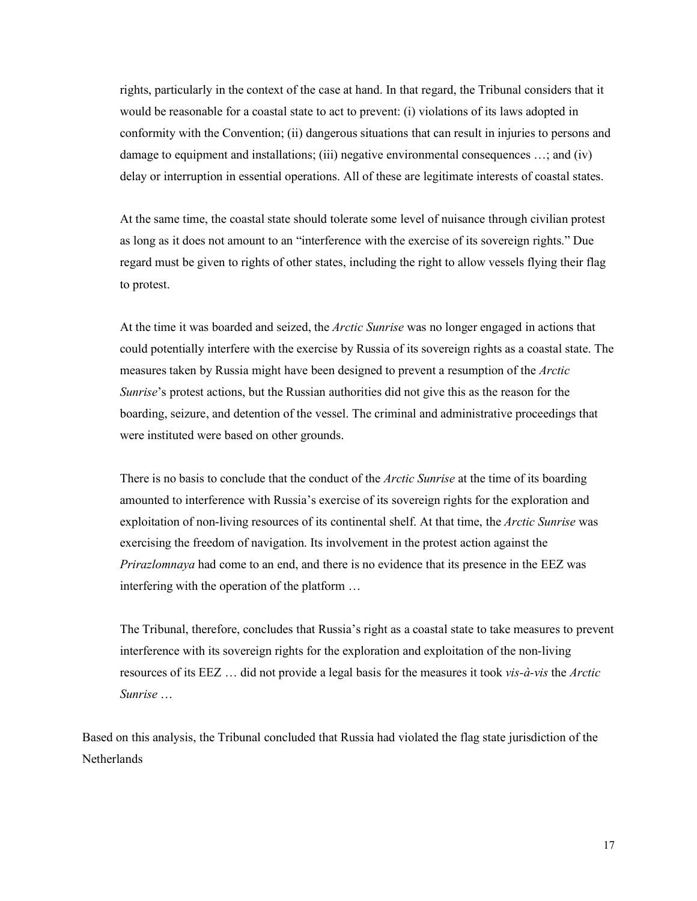rights, particularly in the context of the case at hand. In that regard, the Tribunal considers that it would be reasonable for a coastal state to act to prevent: (i) violations of its laws adopted in conformity with the Convention; (ii) dangerous situations that can result in injuries to persons and damage to equipment and installations; (iii) negative environmental consequences ...; and (iv) delay or interruption in essential operations. All of these are legitimate interests of coastal states.

At the same time, the coastal state should tolerate some level of nuisance through civilian protest as long as it does not amount to an "interference with the exercise of its sovereign rights." Due regard must be given to rights of other states, including the right to allow vessels flying their flag to protest.

At the time it was boarded and seized, the *Arctic Sunrise* was no longer engaged in actions that could potentially interfere with the exercise by Russia of its sovereign rights as a coastal state. The measures taken by Russia might have been designed to prevent a resumption of the *Arctic Sunrise*'s protest actions, but the Russian authorities did not give this as the reason for the boarding, seizure, and detention of the vessel. The criminal and administrative proceedings that were instituted were based on other grounds.

There is no basis to conclude that the conduct of the *Arctic Sunrise* at the time of its boarding amounted to interference with Russia's exercise of its sovereign rights for the exploration and exploitation of non-living resources of its continental shelf. At that time, the *Arctic Sunrise* was exercising the freedom of navigation. Its involvement in the protest action against the *Prirazlomnaya* had come to an end, and there is no evidence that its presence in the EEZ was interfering with the operation of the platform …

The Tribunal, therefore, concludes that Russia's right as a coastal state to take measures to prevent interference with its sovereign rights for the exploration and exploitation of the non-living resources of its EEZ … did not provide a legal basis for the measures it took *vis-à-vis* the *Arctic Sunrise* …

Based on this analysis, the Tribunal concluded that Russia had violated the flag state jurisdiction of the **Netherlands**